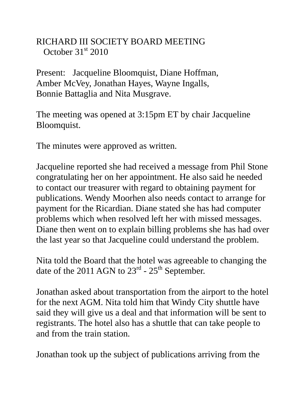## RICHARD III SOCIETY BOARD MEETING October  $31<sup>st</sup>$  2010

Present: Jacqueline Bloomquist, Diane Hoffman, Amber McVey, Jonathan Hayes, Wayne Ingalls, Bonnie Battaglia and Nita Musgrave.

The meeting was opened at 3:15pm ET by chair Jacqueline Bloomquist.

The minutes were approved as written.

Jacqueline reported she had received a message from Phil Stone congratulating her on her appointment. He also said he needed to contact our treasurer with regard to obtaining payment for publications. Wendy Moorhen also needs contact to arrange for payment for the Ricardian. Diane stated she has had computer problems which when resolved left her with missed messages. Diane then went on to explain billing problems she has had over the last year so that Jacqueline could understand the problem.

Nita told the Board that the hotel was agreeable to changing the date of the 2011 AGN to  $23^{\text{rd}}$  -  $25^{\text{th}}$  September.

Jonathan asked about transportation from the airport to the hotel for the next AGM. Nita told him that Windy City shuttle have said they will give us a deal and that information will be sent to registrants. The hotel also has a shuttle that can take people to and from the train station.

Jonathan took up the subject of publications arriving from the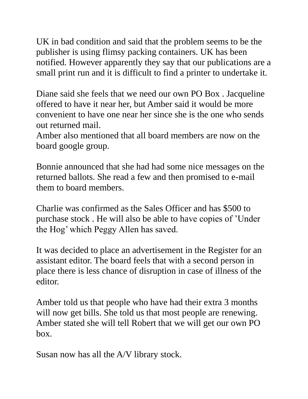UK in bad condition and said that the problem seems to be the publisher is using flimsy packing containers. UK has been notified. However apparently they say that our publications are a small print run and it is difficult to find a printer to undertake it.

Diane said she feels that we need our own PO Box . Jacqueline offered to have it near her, but Amber said it would be more convenient to have one near her since she is the one who sends out returned mail.

Amber also mentioned that all board members are now on the board google group.

Bonnie announced that she had had some nice messages on the returned ballots. She read a few and then promised to e-mail them to board members.

Charlie was confirmed as the Sales Officer and has \$500 to purchase stock . He will also be able to have copies of 'Under the Hog' which Peggy Allen has saved.

It was decided to place an advertisement in the Register for an assistant editor. The board feels that with a second person in place there is less chance of disruption in case of illness of the editor.

Amber told us that people who have had their extra 3 months will now get bills. She told us that most people are renewing. Amber stated she will tell Robert that we will get our own PO box.

Susan now has all the A/V library stock.